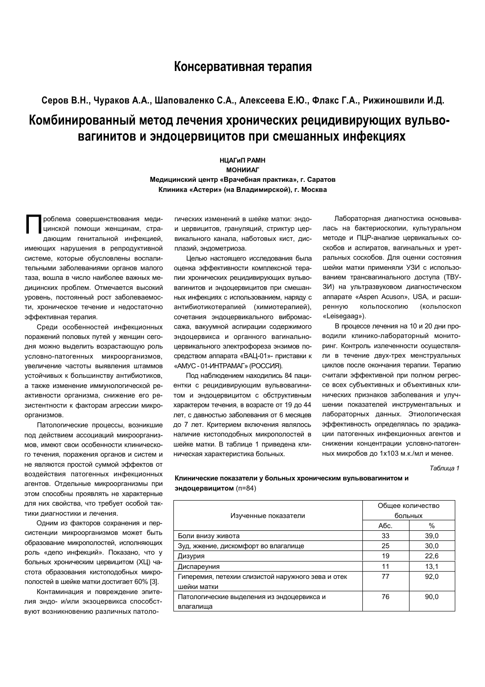## Консервативная терапия

## Серов В.Н., Чураков А.А., Шаповаленко С.А., Алексеева Е.Ю., Флакс Г.А., Рижиношвили И.Д. Комбинированный метод лечения хронических рецидивирующих вульвовагинитов и эндоцервицитов при смешанных инфекциях

**НЦАГиП РАМН МОНИИАГ** Медицинский центр «Врачебная практика», г. Саратов Клиника «Астери» (на Владимирской), г. Москва

роблема совершенствования медицинской помощи женщинам, страдающим генитальной инфекцией. имеющих нарушения в репродуктивной системе, которые обусловлены воспалительными заболеваниями органов малого таза, вошла в число наиболее важных медицинских проблем. Отмечается высокий уровень, постоянный рост заболеваемости, хроническое течение и недостаточно эффективная терапия.

Среди особенностей инфекционных поражений половых путей у женщин сегодня можно выделить возрастающую роль условно-патогенных микроорганизмов. увеличение частоты выявления штаммов устойчивых к большинству антибиотиков. а также изменение иммунологической реактивности организма, снижение его резистентности к факторам агрессии микроорганизмов.

Патологические процессы, возникшие под действием ассоциаций микроорганизмов, имеют свои особенности клинического течения, поражения органов и систем и не являются простой суммой эффектов от воздействия патогенных инфекционных агентов. Отдельные микроорганизмы при этом способны проявлять не характерные для них свойства, что требует особой тактики диагностики и лечения.

Одним из факторов сохранения и персистенции микроорганизмов может быть образование микрополостей, исполняющих роль «депо инфекций». Показано. что у больных хроническим цервицитом (ХЦ) частота образования кистоподобных микрополостей в шейке матки достигает 60% [3].

Контаминация и повреждение эпителия эндо- и/или экзоцервикса способствуют возникновению различных патологических изменений в шейке матки: эндои цервицитов, грануляций, стриктур цервикального канала, наботовых кист, дисплазий, эндометриоза.

Целью настоящего исследования была оценка эффективности комплексной терапии хронических рецидивирующих вульвовагинитов и эндоцервицитов при смешанных инфекциях с использованием, наряду с антибиотикотерапией (химиотерапией), сочетания эндоцервикального вибромассажа, вакуумной аспирации содержимого эндоцервикса и органного вагинальноцервикального электрофореза энзимов посредством аппарата «ВАЦ-01»- приставки к «АМУС - 01-ИНТРАМАГ» (РОССИЯ).

Под наблюдением находились 84 пациентки с рецидивирующим вульвовагинитом и эндоцервицитом с обструктивным характером течения, в возрасте от 19 до 44 лет, с давностью заболевания от 6 месяцев до 7 лет. Критерием включения являлось наличие кистоподобных микрополостей в шейке матки. В таблице 1 приведена клиническая характеристика больных.

Лабораторная диагностика основывалась на бактериоскопии, культуральном методе и ПЦР-анализе цервикальных соскобов и аспиратов, вагинальных и уретральных соскобов. Для оценки состояния шейки матки применяли УЗИ с использованием трансвагинального доступа (ТВУ-ЗИ) на ультразвуковом диагностическом аппарате «Aspen Acuson», USA, и расшикольпоскопию (кольпоскоп ренную «Leisegaag»).

В процессе лечения на 10 и 20 дни проводили клинико-лабораторный мониторинг. Контроль излеченности осуществляли в течение двух-трех менструальных циклов после окончания терапии. Терапию считали эффективной при полном регрессе всех субъективных и объективных клинических признаков заболевания и улучшении показателей инструментальных и лабораторных данных. Этиологическая эффективность определялась по эрадикации патогенных инфекционных агентов и снижении концентрации условно-патогенных микробов до 1х103 м.к./мл и менее.

Таблица 1

Клинические показатели у больных хроническим вульвовагинитом и эндоцервицитом (п=84)

| больных<br>Изученные показатели<br>$\%$<br>Абс.<br>33<br>39,0<br>Боли внизу живота<br>25<br>30,0<br>Зуд, жжение, дискомфорт во влагалище<br>22,6<br>19<br>Дизурия |  | Общее количество |  |
|-------------------------------------------------------------------------------------------------------------------------------------------------------------------|--|------------------|--|
|                                                                                                                                                                   |  |                  |  |
|                                                                                                                                                                   |  |                  |  |
|                                                                                                                                                                   |  |                  |  |
|                                                                                                                                                                   |  |                  |  |
|                                                                                                                                                                   |  |                  |  |
| 11<br>13,1<br>Диспареуния                                                                                                                                         |  |                  |  |
| 92,0<br>Гиперемия, петехии слизистой наружного зева и отек<br>77                                                                                                  |  |                  |  |
| шейки матки                                                                                                                                                       |  |                  |  |
| 90.0<br>76<br>Патологические выделения из эндоцервикса и                                                                                                          |  |                  |  |
| влагалища                                                                                                                                                         |  |                  |  |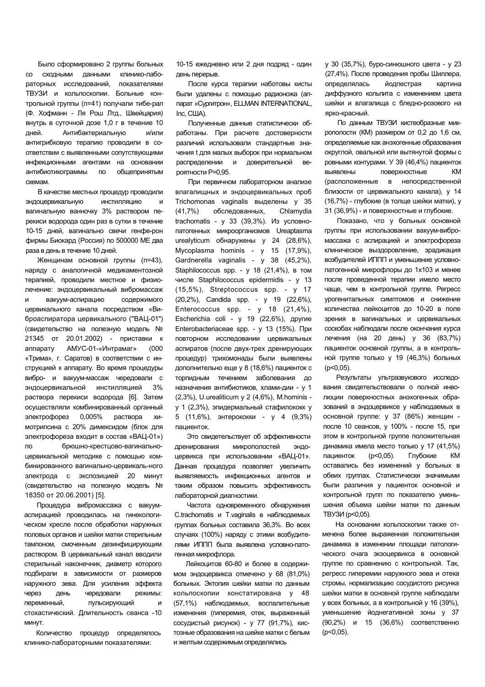Было сформировано 2 группы больных со сходными данными клинико-лабораторных исследований, показателями ТВУЗИ и кольпоскопии. Больные контрольной группы (п=41) получали тибе-рал (Ф. Хофманн - Ля Рош Лтд., Швейцария) внутрь в суточной дозе 1,0 г в течение 10 дней. Антибактериальную и/или антигрибковую терапию проводили в соответствии с выявленными сопутствующими инфекционными агентами на основании антибиотикограммы аммы по общепринятым **схемам** 

В качестве местных процедур проводили эндоцерв **ИНСТИЛЛЯЦИЮ И** вагинальную ванночку 3% раствором перекиси водорода один раз в сутки в течение 10-15 дней, вагинально свечи генфе-рон фирмы Биокард (Россия) по 500000 МЕ два раза в день в течение 10 дней.

Женщинам основной группы (п=43), наряду с аналогичной медикаментозной терапией, проводили местное и физиолечение: эндоцервикальный вибромассаж и вакуум-аспир ацию содержимого цервикального канала посредством «Виброаспиратора цервикального ("ВАЦ-01") (свидетельство на полезную модель № 21345 от 20.01.2002) - приставки к annapary ату АМУС-01-«Интрамаг» (000 «Трима», г. Саратов) в соответствии с инструкцией к аппарату. Во время процедуры вибро- и вакуум-массаж чередовали с эндоцерв инстилляцией 3% раствора перекиси водорода [6]. Затем осуществляли комбинированный органный электрофор 0,005% аствор химотрипсина с 20% димексидом (блок для электрофореза входит в состав «ВАЦ-01») по брюшно-крестцово-вагинальноцервикальной методике с помощью комбинированного вагинально-цервикаль-ного электрода с экспозицией 20 минут (свидетельство на полезную модель № 18350 20.06.2001) [5].

Процедура вибромассажа с вакуумаспирацией проводилась на гинекологическом кресле после обработки наружных половых органов и шейки матки стерильным тампоном, смоченным дезинфицирующим раствором. В цервикальный канал вводили стерильный наконечник, диаметр которого подбирали в зависимости от размеров наружного зева. Для усиления эффекта yepe3 день едовали р режимы: переменный. еменный, пульсирующий и стохастический. Длительность сеанса -10 минут.

Количество процедур определялось клинико-лабораторными показателями:

10-15 ежедневно или 2 дня подряд - один день перерыв.

После курса терапии наботовы кисты были удалены с помощью радионожа (аппарат «Сургитрон», ELLMAN INTERNATIONAL,  $Inc$ ,  $CIII$ A).

Полученные данные статистически обработаны. При расчете достоверности различий использовали стандартные значения t для малых выборок при нормальном распределении и доверительной в Beроятности Р=0,95.

При первичном лабораторном анализе влагалищных и эндоцервикальных проб Trichomonas vaginalis  35 (41,7%) , Chlamydia trachomatis - у 33 (39,3%). Из условнопатогенных микроорганизмов Ureaptasma urealyticum обнаружены у 24 (28,6%), Mycoplasma hominis - y 15 (17,9%), Gardnerella vaginalis - y 38 (45,2%), Staphilococcus spp. - у 18 (21,4%), в том числе Staphilococcus epidermidis - y 13 (15,5%), Streptococcus spp. - 17 (20,2%), Candida spp. - 19 (22,6%), Enterococcus spp. -  $y$  18 (21,4%), Escherichia coli - y 19 (22,6%), другие Enterobacteriaceae spp. - у 13 (15%). При повторном исследовании цервикальных аспиратов (после двух-трех дренирующих процедур) трихомонады были выявлены дополнительно еще у 8 (18,6%) пациенток с торпидным течением заболевания до назначения антибиотиков, хлами-дии - у 1 (2,3%), U.urealiticum y 2 (4,6%), M.hominis у 1 (2,3%), эпидермальный стафилококк у 5 (11,6%), энтерококки - у 4 (9,3%) пациенток.

Это свидетельствует об эффективности дрениров ания микрополостей эндоцервикса при использовании «ВАЦ-01». Данная процедура позволяет увеличить выявляемость инфекционных агентов и таким образом повысить эффективность лабораторной диагностики.

Частота одновременного обнаружения C.trachomatis и T.vaginalis в наблюдаемых группах больных составила 36,3%. Во всех случаях (100%) наряду с этими возбудителями ИППП была выявлена условно-патогенная микрофлора.

Лейкоцитов 60-80 и более в содержимом эндоцервикса отмечено у 68 (81,0%) больных. Эктопия шейки матки по данным кольпоскопии констатирована у 48 (57,1%) наблюдаемых, воспалительные изменения (гиперемия, отек, выраженный сосудистый рисунок) - у 77 (91,7%), кистозные образования на шейке матки с белым и желтым содержимым определялись

y 30 (35,7%), буро-синюшного цвета - у 23 (27,4%). После проведения пробы Шиллера, определялась йодпестрая ая картина диффузного кольпита с изменением цвета шейки и влагалища с бледно-розового на ярко-красный.

По данным ТВУЗИ кистеобразные микрополости (КМ) размером от 0,2 до 1,6 см, определяемые как анэхогенные образования округлой, овальной или вытянутой формы с ровными контурами. У 39 (46,4%) пациенток **выявлены** пов ерхностные КМ (расположенные в непосредственной близости от цервикального канала), у 14 (16,7%) - глубокие (в толще шейки матки), у 31 (36,9%) - и поверхностные и глубокие.

Показано, что у больных основной группы при использовании вакуум-вибромассажа с аспирацией и электрофореза клиническое выздоровление, эрадикация возбудителей ИППП и уменьшение условнопатогенной микрофлоры до 1x103 и менее после проведенной терапии имело место чаще, чем в контрольной группе. Регресс урогенитальных симптомов и снижение количества лейкоцитов до 10-20 в поле зрения в вагинальных и цервикальных соскобах наблюдали после окончания курса лечения (на 20 день) у 36 (83,7%) пациенток основной группы, а в контрольной группе только у 19 (46,3%) больных  $(p<0,05)$ .

Результаты ультразвукового исследования свидетельствовали о полной инволюции поверхностных анэхогенных образований в эндоцервиксе у наблюдаемых в основной группе: у 37 (86%) женщин после 10 сеансов, у 100% - после 15, при этом в контрольной группе положительная динамика имела место только у 17 (41,5%) пациенток (p<0,05). Глубокие КМ оставались без изменений у больных в обеих группах. Статистически значимыми были различия у пациенток основной и контрольной групп по показателю уменьшения объема шейки матки по данным TBY3*V* (p<0,05).

На основании кольпоскопии также отмечена более выраженная положительная динамика в изменении площади патологического очага экзоцервикса в основной группе по сравнению с контрольной. Так, регресс гиперемии наружного зева и отека стромы, нормализацию сосудистого рисунка шейки матки в основной группе наблюдали у всех больных, а в контрольной у 16 (39%), уменьшение йоднегативной зоны у 37 (90,2%) и 15 (36,6%) соответственно (p<0,05).